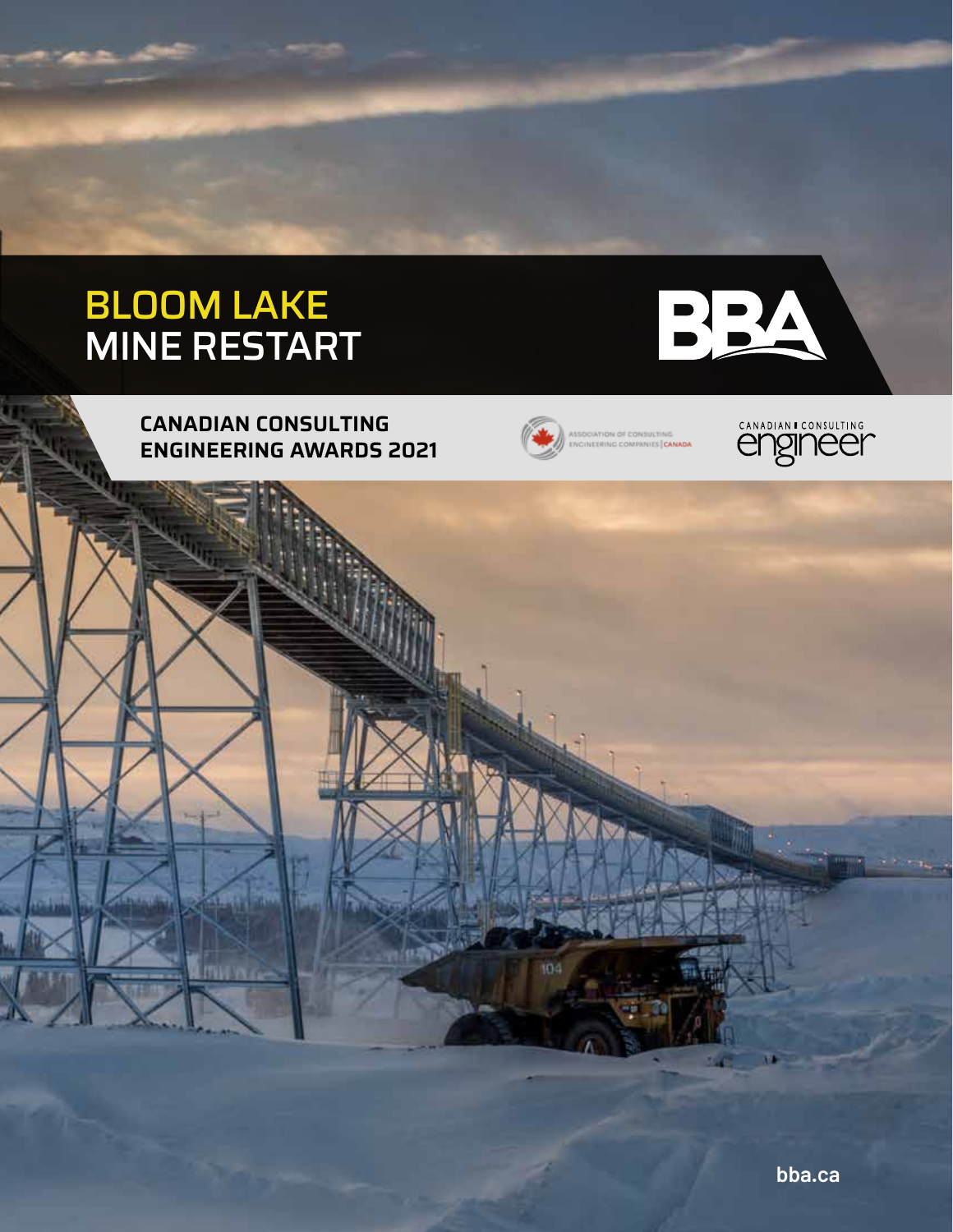# BLOOM LAKE MINE RESTART

**CANADIAN CONSULTING ENGINEERING AWARDS 2021**





BBA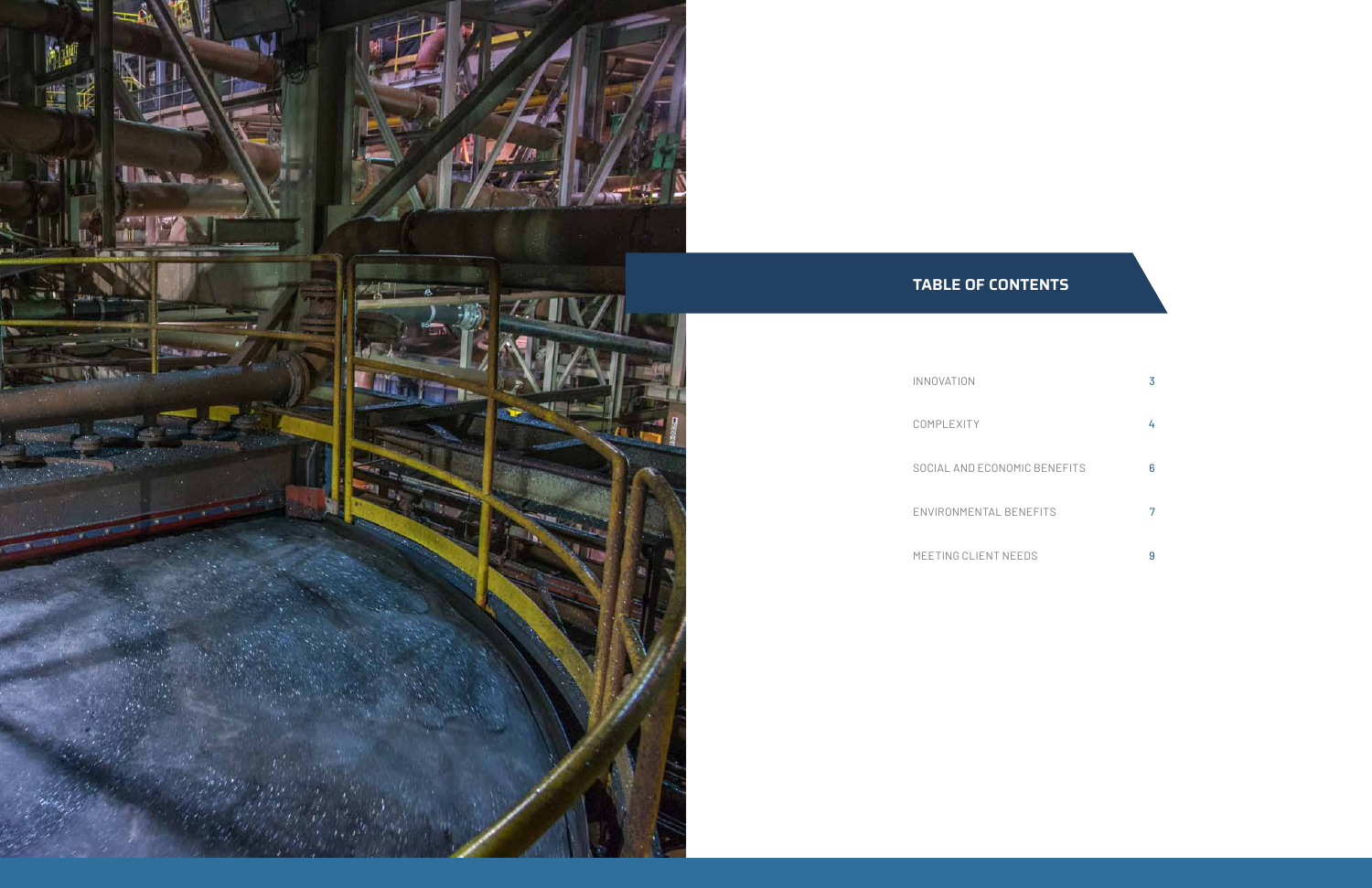

# **TABLE OF CONTENTS**

INNOVATION 3 COMPLEXITY 4 SOCIAL AND ECONOMIC BENEFITS 6 ENVIRONMENTAL BENEFITS 7 MEETING CLIENT NEEDS 9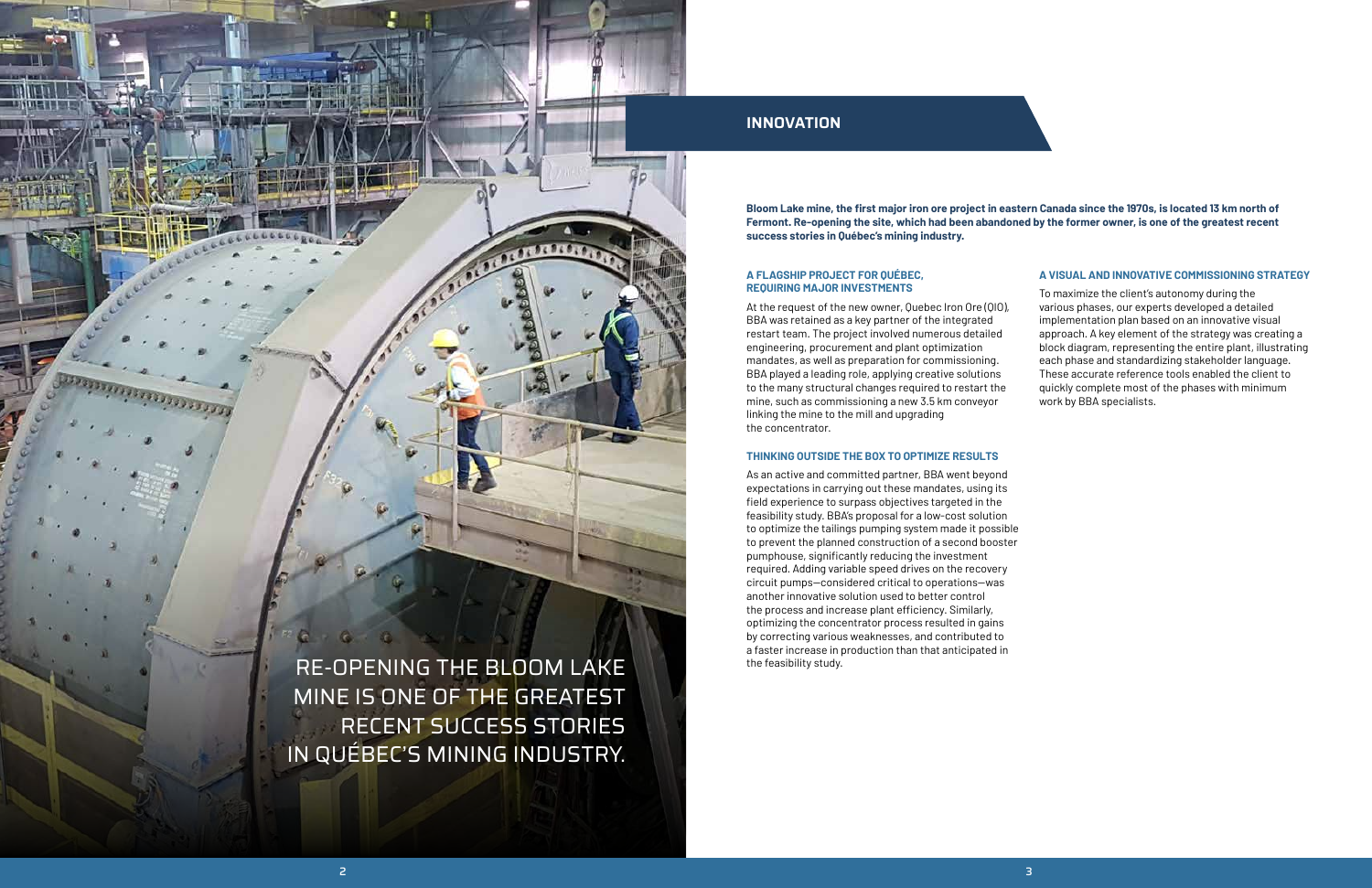# **INNOVATION**

# **A VISUAL AND INNOVATIVE COMMISSIONING STRATEGY**

To maximize the client's autonomy during the various phases, our experts developed a detailed implementation plan based on an innovative visual approach. A key element of the strategy was creating a block diagram, representing the entire plant, illustrating each phase and standardizing stakeholder language. These accurate reference tools enabled the client to quickly complete most of the phases with minimum work by BBA specialists.

#### **A FLAGSHIP PROJECT FOR QUÉBEC, REQUIRING MAJOR INVESTMENTS**

At the request of the new owner, Quebec Iron Ore (QIO), BBA was retained as a key partner of the integrated restart team. The project involved numerous detailed engineering, procurement and plant optimization mandates, as well as preparation for commissioning. BBA played a leading role, applying creative solutions to the many structural changes required to restart the mine, such as commissioning a new 3.5 km conveyor linking the mine to the mill and upgrading the concentrator.

# **THINKING OUTSIDE THE BOX TO OPTIMIZE RESULTS**

As an active and committed partner, BBA went beyond expectations in carrying out these mandates, using its field experience to surpass objectives targeted in the feasibility study. BBA's proposal for a low-cost solution to optimize the tailings pumping system made it possible to prevent the planned construction of a second booster pumphouse, significantly reducing the investment required. Adding variable speed drives on the recovery circuit pumps—considered critical to operations—was another innovative solution used to better control the process and increase plant efficiency. Similarly, optimizing the concentrator process resulted in gains by correcting various weaknesses, and contributed to a faster increase in production than that anticipated in the feasibility study.

# **Bloom Lake mine, the first major iron ore project in eastern Canada since the 1970s, is located 13 km north of Fermont. Re-opening the site, which had been abandoned by the former owner, is one of the greatest recent**

**success stories in Québec's mining industry.**



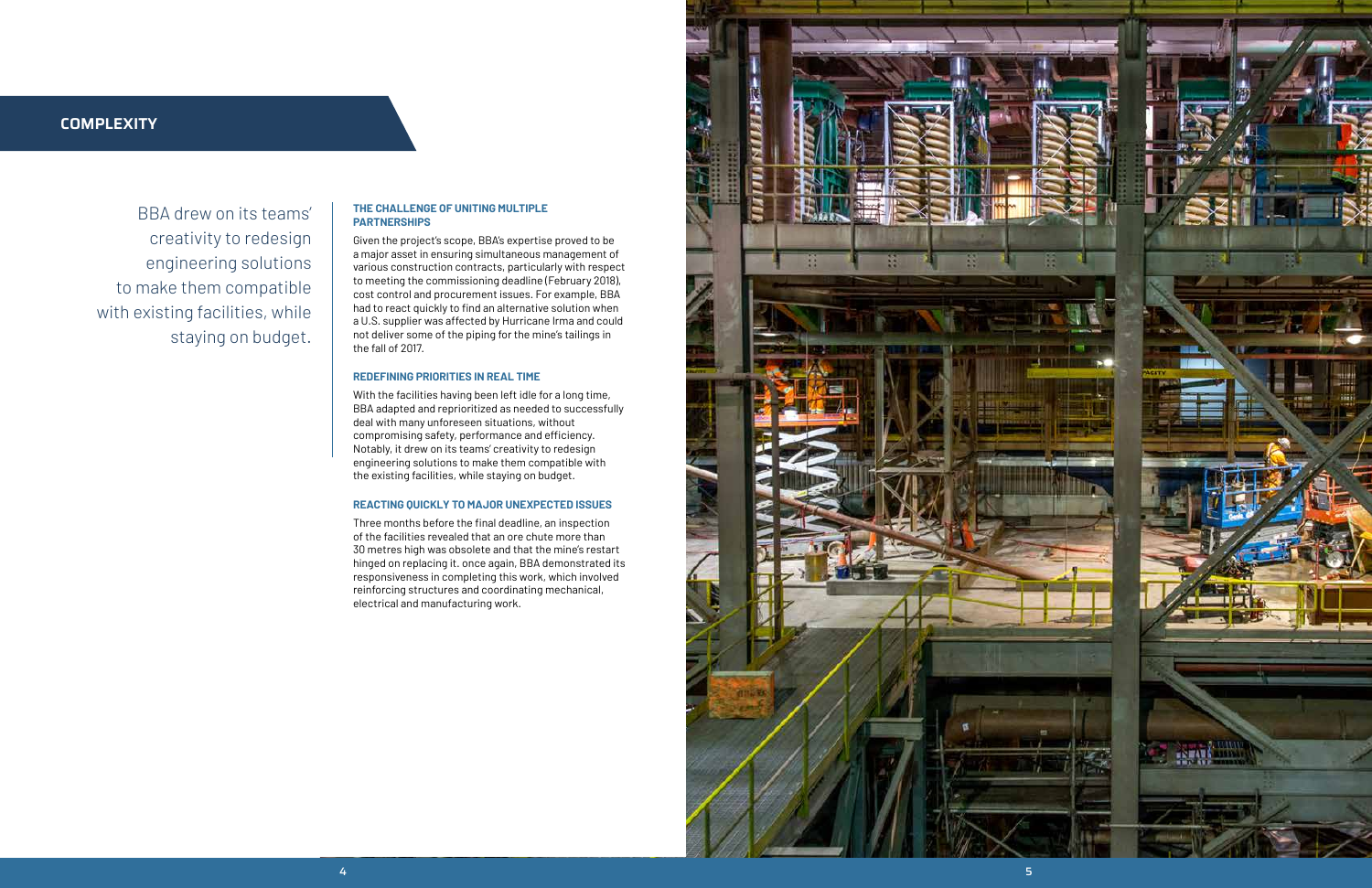#### **THE CHALLENGE OF UNITING MULTIPLE PARTNERSHIPS**

Given the project's scope, BBA's expertise proved to be a major asset in ensuring simultaneous management of various construction contracts, particularly with respect to meeting the commissioning deadline (February 2018), cost control and procurement issues. For example, BBA had to react quickly to find an alternative solution when a U.S. supplier was affected by Hurricane Irma and could not deliver some of the piping for the mine's tailings in the fall of 2017.

# **REDEFINING PRIORITIES IN REAL TIME**

With the facilities having been left idle for a long time, BBA adapted and reprioritized as needed to successfully deal with many unforeseen situations, without compromising safety, performance and efficiency. Notably, it drew on its teams' creativity to redesign engineering solutions to make them compatible with the existing facilities, while staying on budget.

### **REACTING QUICKLY TO MAJOR UNEXPECTED ISSUES**

Three months before the final deadline, an inspection of the facilities revealed that an ore chute more than 30 metres high was obsolete and that the mine's restart hinged on replacing it. once again, BBA demonstrated its responsiveness in completing this work, which involved reinforcing structures and coordinating mechanical, electrical and manufacturing work.

# **COMPLEXITY**

BBA drew on its teams' creativity to redesign engineering solutions to make them compatible with existing facilities, while staying on budget.

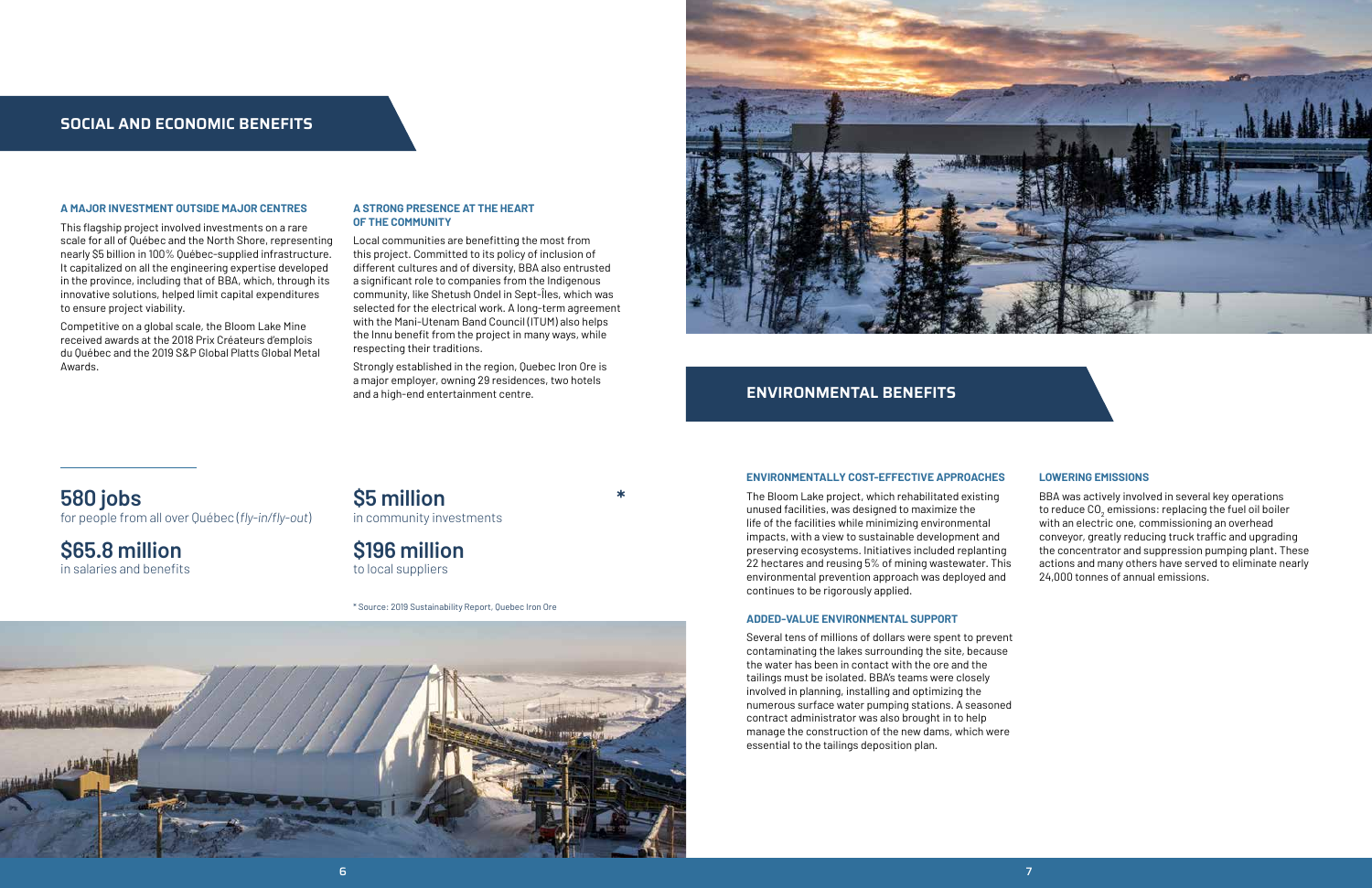#### **A STRONG PRESENCE AT THE HEART OF THE COMMUNITY**

Local communities are benefitting the most from this project. Committed to its policy of inclusion of different cultures and of diversity, BBA also entrusted a significant role to companies from the Indigenous community, like Shetush Ondel in Sept-Îles, which was selected for the electrical work. A long-term agreement with the Mani-Utenam Band Council (ITUM) also helps the Innu benefit from the project in many ways, while respecting their traditions.

Strongly established in the region, Quebec Iron Ore is a major employer, owning 29 residences, two hotels and a high-end entertainment centre.

#### **A MAJOR INVESTMENT OUTSIDE MAJOR CENTRES**

This flagship project involved investments on a rare scale for all of Québec and the North Shore, representing nearly \$5 billion in 100% Québec-supplied infrastructure. It capitalized on all the engineering expertise developed in the province, including that of BBA, which, through its innovative solutions, helped limit capital expenditures to ensure project viability.

Competitive on a global scale, the Bloom Lake Mine received awards at the 2018 Prix Créateurs d'emplois du Québec and the 2019 S&P Global Platts Global Metal Awards.

# **SOCIAL AND ECONOMIC BENEFITS**

# **ENVIRONMENTAL BENEFITS**

# **LOWERING EMISSIONS**

BBA was actively involved in several key operations to reduce CO $_{_2}$  emissions: replacing the fuel oil boiler with an electric one, commissioning an overhead conveyor, greatly reducing truck traffic and upgrading the concentrator and suppression pumping plant. These actions and many others have served to eliminate nearly 24,000 tonnes of annual emissions.

**ENVIRONMENTALLY COST-EFFECTIVE APPROACHES**

The Bloom Lake project, which rehabilitated existing unused facilities, was designed to maximize the life of the facilities while minimizing environmental impacts, with a view to sustainable development and preserving ecosystems. Initiatives included replanting 22 hectares and reusing 5% of mining wastewater. This environmental prevention approach was deployed and continues to be rigorously applied.

#### **ADDED-VALUE ENVIRONMENTAL SUPPORT**

Several tens of millions of dollars were spent to prevent contaminating the lakes surrounding the site, because the water has been in contact with the ore and the tailings must be isolated. BBA's teams were closely involved in planning, installing and optimizing the numerous surface water pumping stations. A seasoned contract administrator was also brought in to help manage the construction of the new dams, which were essential to the tailings deposition plan.

**\$5 million**  in community investments

# **\$196 million**  to local suppliers

**580 jobs**

for people from all over Québec (*fly-in/fly-out*)

**\$65.8 million**  in salaries and benefits **\***



\* Source: 2019 Sustainability Report, Quebec Iron Ore

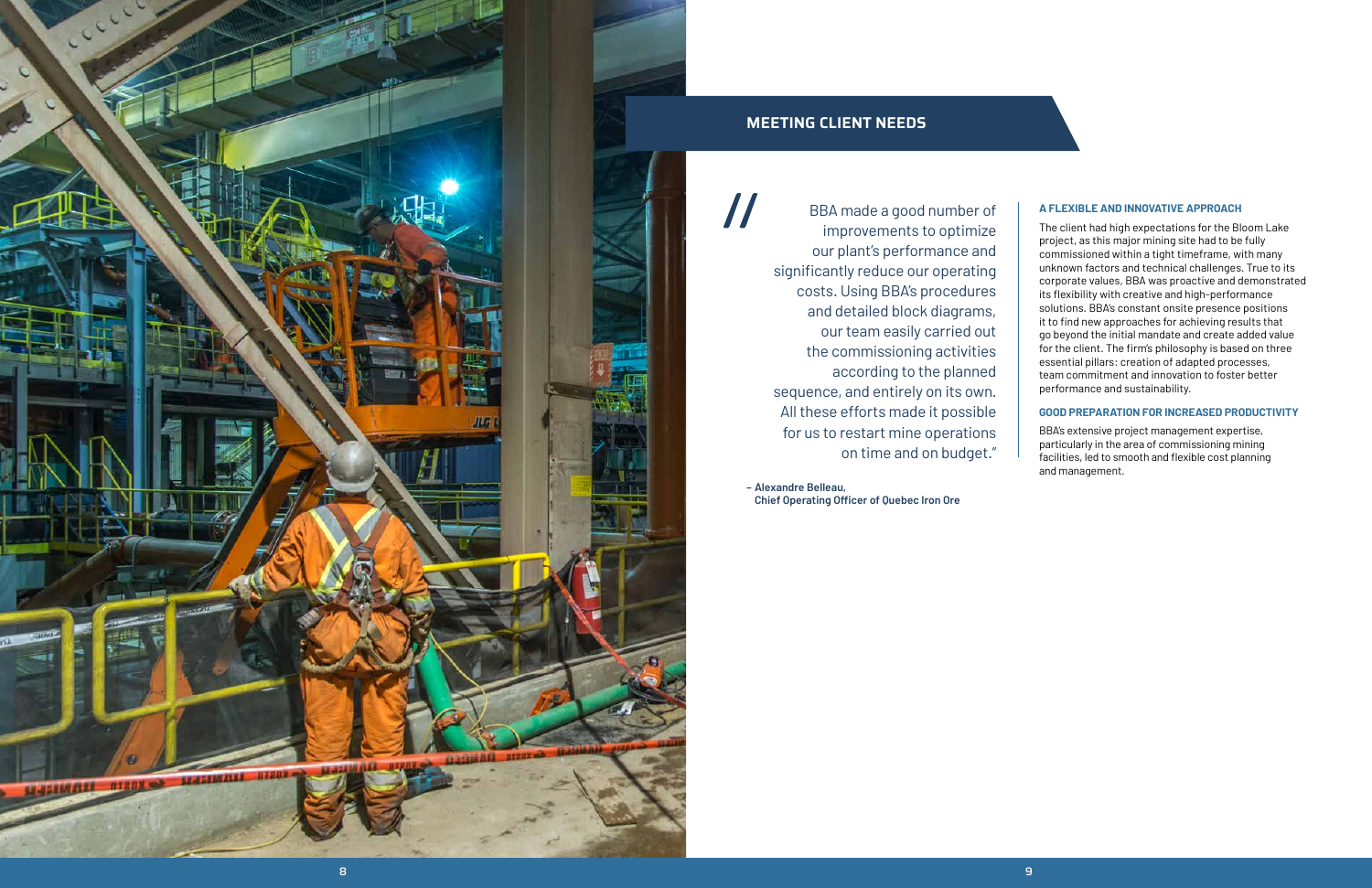# **A FLEXIBLE AND INNOVATIVE APPROACH**

The client had high expectations for the Bloom Lake project, as this major mining site had to be fully commissioned within a tight timeframe, with many unknown factors and technical challenges. True to its corporate values, BBA was proactive and demonstrated its flexibility with creative and high-performance solutions. BBA's constant onsite presence positions it to find new approaches for achieving results that go beyond the initial mandate and create added value for the client. The firm's philosophy is based on three essential pillars: creation of adapted processes, team commitment and innovation to foster better performance and sustainability.

# **GOOD PREPARATION FOR INCREASED PRODUCTIVITY**

BBA's extensive project management expertise, particularly in the area of commissioning mining facilities, led to smooth and flexible cost planning and management.

# **MEETING CLIENT NEEDS**

BBA made a good number of improvements to optimize our plant's performance and significantly reduce our operating costs. Using BBA's procedures and detailed block diagrams, our team easily carried out the commissioning activities according to the planned sequence, and entirely on its own. All these efforts made it possible for us to restart mine operations on time and on budget."

**– Alexandre Belleau, Chief Operating Officer of Quebec Iron Ore**

Cocco